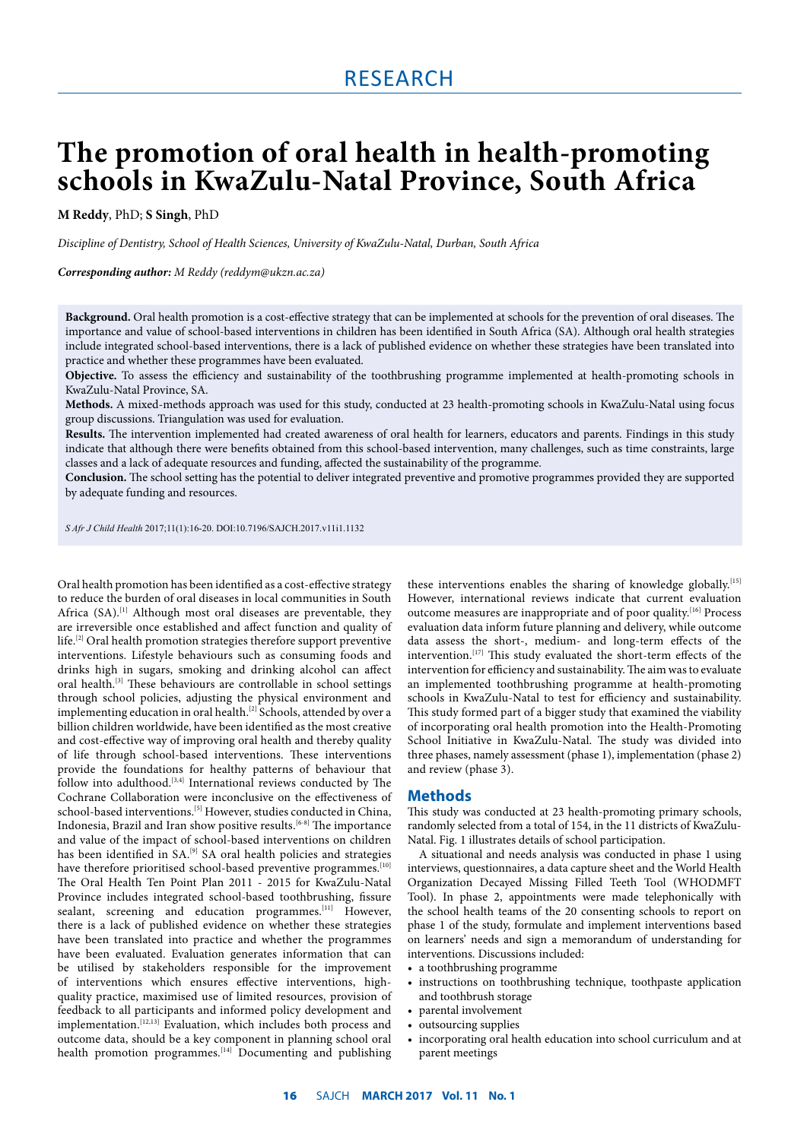# **The promotion of oral health in health-promoting schools in KwaZulu-Natal Province, South Africa**

**M Reddy**, PhD; **S Singh**, PhD

*Discipline of Dentistry, School of Health Sciences, University of KwaZulu-Natal, Durban, South Africa*

*Corresponding author: M Reddy (reddym@ukzn.ac.za)* 

**Background.** Oral health promotion is a cost-effective strategy that can be implemented at schools for the prevention of oral diseases. The importance and value of school-based interventions in children has been identified in South Africa (SA). Although oral health strategies include integrated school-based interventions, there is a lack of published evidence on whether these strategies have been translated into practice and whether these programmes have been evaluated.

**Objective.** To assess the efficiency and sustainability of the toothbrushing programme implemented at health-promoting schools in KwaZulu-Natal Province, SA.

**Methods.** A mixed-methods approach was used for this study, conducted at 23 health-promoting schools in KwaZulu-Natal using focus group discussions. Triangulation was used for evaluation.

**Results.** The intervention implemented had created awareness of oral health for learners, educators and parents. Findings in this study indicate that although there were benefits obtained from this school-based intervention, many challenges, such as time constraints, large classes and a lack of adequate resources and funding, affected the sustainability of the programme.

**Conclusion.** The school setting has the potential to deliver integrated preventive and promotive programmes provided they are supported by adequate funding and resources.

*S Afr J Child Health* 2017;11(1):16-20. DOI:10.7196/SAJCH.2017.v11i1.1132

Oral health promotion has been identified as a cost-effective strategy to reduce the burden of oral diseases in local communities in South Africa (SA).<sup>[1]</sup> Although most oral diseases are preventable, they are irreversible once established and affect function and quality of  $l$ life.<sup>[2]</sup> Oral health promotion strategies therefore support preventive interventions. Lifestyle behaviours such as consuming foods and drinks high in sugars, smoking and drinking alcohol can affect oral health.<sup>[3]</sup> These behaviours are controllable in school settings through school policies, adjusting the physical environment and implementing education in oral health.<sup>[2]</sup> Schools, attended by over a billion children worldwide, have been identified as the most creative and cost-effective way of improving oral health and thereby quality of life through school-based interventions. These interventions provide the foundations for healthy patterns of behaviour that follow into adulthood.[3,4] International reviews conducted by The Cochrane Collaboration were inconclusive on the effectiveness of school-based interventions.<sup>[5]</sup> However, studies conducted in China, Indonesia, Brazil and Iran show positive results.<sup>[6-8]</sup> The importance and value of the impact of school-based interventions on children has been identified in SA.<sup>[9]</sup> SA oral health policies and strategies have therefore prioritised school-based preventive programmes.<sup>[10]</sup> The Oral Health Ten Point Plan 2011 - 2015 for KwaZulu-Natal Province includes integrated school-based toothbrushing, fissure sealant, screening and education programmes.<sup>[11]</sup> However, there is a lack of published evidence on whether these strategies have been translated into practice and whether the programmes have been evaluated. Evaluation generates information that can be utilised by stakeholders responsible for the improvement of interventions which ensures effective interventions, highquality practice, maximised use of limited resources, provision of feedback to all participants and informed policy development and implementation.<sup>[12,13]</sup> Evaluation, which includes both process and outcome data, should be a key component in planning school oral health promotion programmes.<sup>[14]</sup> Documenting and publishing

these interventions enables the sharing of knowledge globally.<sup>[15]</sup> However, international reviews indicate that current evaluation outcome measures are inappropriate and of poor quality.<sup>[16]</sup> Process evaluation data inform future planning and delivery, while outcome data assess the short-, medium- and long-term effects of the intervention.<sup>[17]</sup> This study evaluated the short-term effects of the intervention for efficiency and sustainability. The aim was to evaluate an implemented toothbrushing programme at health-promoting schools in KwaZulu-Natal to test for efficiency and sustainability. This study formed part of a bigger study that examined the viability of incorporating oral health promotion into the Health-Promoting School Initiative in KwaZulu-Natal. The study was divided into three phases, namely assessment (phase 1), implementation (phase 2) and review (phase 3).

# **Methods**

This study was conducted at 23 health-promoting primary schools, randomly selected from a total of 154, in the 11 districts of KwaZulu-Natal. Fig. 1 illustrates details of school participation.

A situational and needs analysis was conducted in phase 1 using interviews, questionnaires, a data capture sheet and the World Health Organization Decayed Missing Filled Teeth Tool (WHODMFT Tool). In phase 2, appointments were made telephonically with the school health teams of the 20 consenting schools to report on phase 1 of the study, formulate and implement interventions based on learners' needs and sign a memorandum of understanding for interventions. Discussions included:

- a toothbrushing programme
- instructions on toothbrushing technique, toothpaste application and toothbrush storage
- parental involvement
- outsourcing supplies
- incorporating oral health education into school curriculum and at parent meetings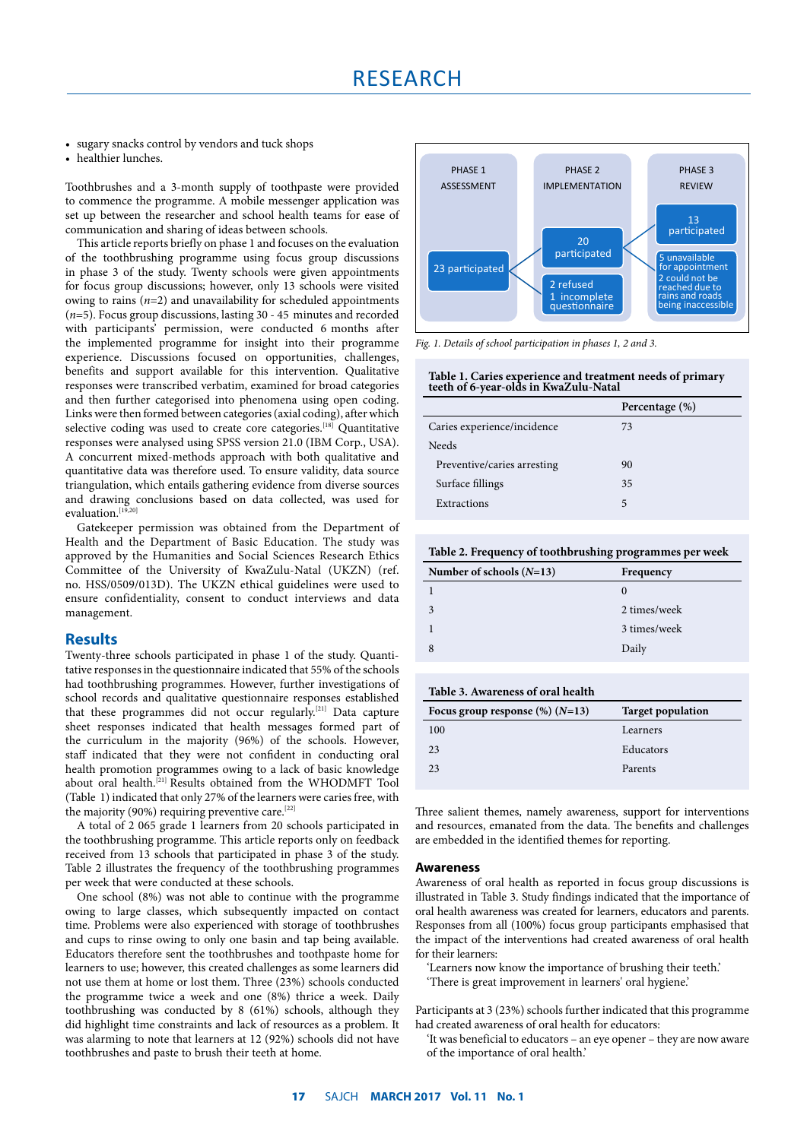• sugary snacks control by vendors and tuck shops

• healthier lunches.

Toothbrushes and a 3-month supply of toothpaste were provided to commence the programme. A mobile messenger application was set up between the researcher and school health teams for ease of communication and sharing of ideas between schools.

This article reports briefly on phase 1 and focuses on the evaluation of the toothbrushing programme using focus group discussions in phase 3 of the study. Twenty schools were given appointments for focus group discussions; however, only 13 schools were visited owing to rains  $(n=2)$  and unavailability for scheduled appointments (*n*=5). Focus group discussions, lasting 30 - 45 minutes and recorded with participants' permission, were conducted 6 months after the implemented programme for insight into their programme experience. Discussions focused on opportunities, challenges, benefits and support available for this intervention. Qualitative responses were transcribed verbatim, examined for broad categories and then further categorised into phenomena using open coding. Links were then formed between categories (axial coding), after which selective coding was used to create core categories.<sup>[18]</sup> Quantitative responses were analysed using SPSS version 21.0 (IBM Corp., USA). A concurrent mixed-methods approach with both qualitative and quantitative data was therefore used. To ensure validity, data source triangulation, which entails gathering evidence from diverse sources and drawing conclusions based on data collected, was used for evaluation.<sup>[19,]</sup>

Gatekeeper permission was obtained from the Department of Health and the Department of Basic Education. The study was approved by the Humanities and Social Sciences Research Ethics Committee of the University of KwaZulu-Natal (UKZN) (ref. no. HSS/0509/013D). The UKZN ethical guidelines were used to ensure confidentiality, consent to conduct interviews and data management.

# **Results**

Twenty-three schools participated in phase 1 of the study. Quantitative responses in the questionnaire indicated that 55% of the schools had toothbrushing programmes. However, further investigations of school records and qualitative questionnaire responses established that these programmes did not occur regularly.<sup>[21]</sup> Data capture sheet responses indicated that health messages formed part of the curriculum in the majority (96%) of the schools. However, staff indicated that they were not confident in conducting oral health promotion programmes owing to a lack of basic knowledge about oral health.[21] Results obtained from the WHODMFT Tool (Table 1) indicated that only 27% of the learners were caries free, with the majority (90%) requiring preventive care.<sup>[22]</sup>

A total of 2 065 grade 1 learners from 20 schools participated in the toothbrushing programme. This article reports only on feedback received from 13 schools that participated in phase 3 of the study. Table 2 illustrates the frequency of the toothbrushing programmes per week that were conducted at these schools.

One school (8%) was not able to continue with the programme owing to large classes, which subsequently impacted on contact time. Problems were also experienced with storage of toothbrushes and cups to rinse owing to only one basin and tap being available. Educators therefore sent the toothbrushes and toothpaste home for learners to use; however, this created challenges as some learners did not use them at home or lost them. Three (23%) schools conducted the programme twice a week and one (8%) thrice a week. Daily toothbrushing was conducted by 8 (61%) schools, although they did highlight time constraints and lack of resources as a problem. It was alarming to note that learners at 12 (92%) schools did not have toothbrushes and paste to brush their teeth at home.



*Fig. 1. Details of school participation in phases 1, 2 and 3.*

#### **Table 1. Caries experience and treatment needs of primary teeth of 6-year-olds in KwaZulu-Natal**

|                             | Percentage (%) |
|-----------------------------|----------------|
| Caries experience/incidence | 73             |
| <b>Needs</b>                |                |
| Preventive/caries arresting | 90             |
| Surface fillings            | 35             |
| Extractions                 | 5              |

|  | Table 2. Frequency of toothbrushing programmes per week |  |
|--|---------------------------------------------------------|--|
|  |                                                         |  |

| Number of schools $(N=13)$ | Frequency    |
|----------------------------|--------------|
|                            | $\theta$     |
| 3                          | 2 times/week |
|                            | 3 times/week |
|                            | Daily        |

| <b>Target population</b> |
|--------------------------|
| Learners                 |
| Educators                |
| Parents                  |
|                          |

Three salient themes, namely awareness, support for interventions and resources, emanated from the data. The benefits and challenges are embedded in the identified themes for reporting.

## **Awareness**

Awareness of oral health as reported in focus group discussions is illustrated in Table 3. Study findings indicated that the importance of oral health awareness was created for learners, educators and parents. Responses from all (100%) focus group participants emphasised that the impact of the interventions had created awareness of oral health for their learners:

'Learners now know the importance of brushing their teeth.'

'There is great improvement in learners' oral hygiene.'

Participants at 3 (23%) schools further indicated that this programme had created awareness of oral health for educators:

'It was beneficial to educators – an eye opener – they are now aware of the importance of oral health.'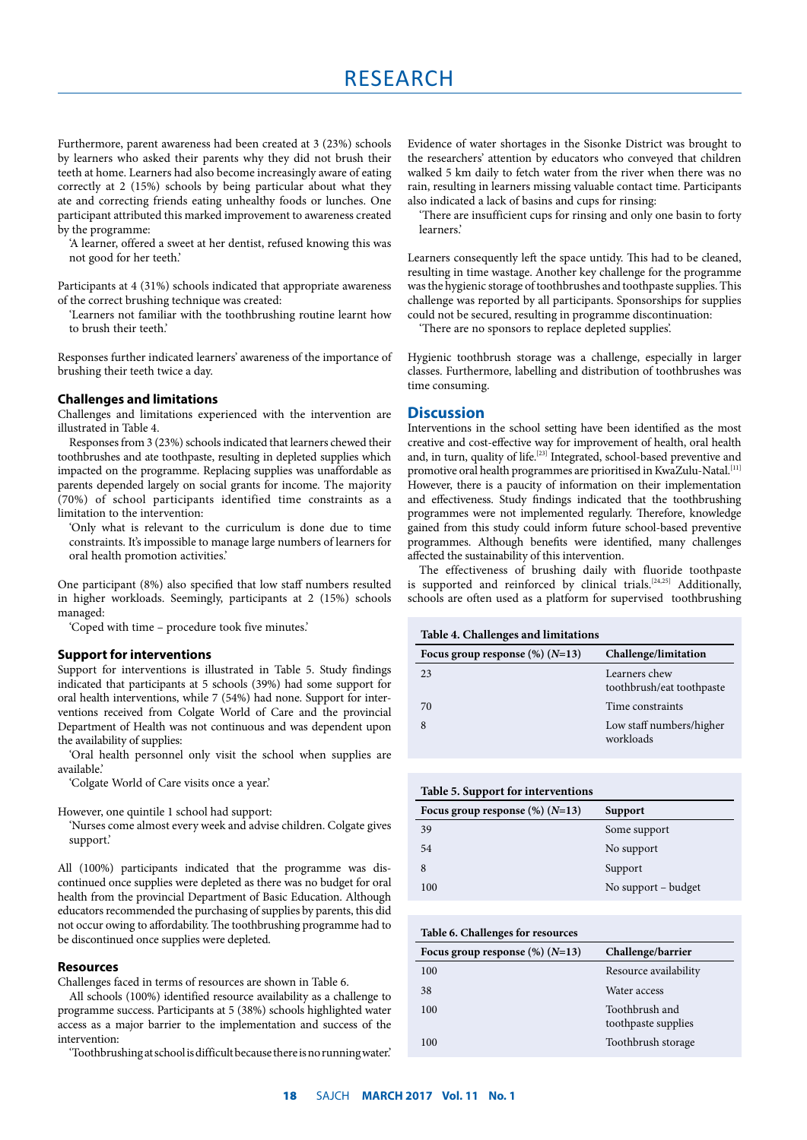Furthermore, parent awareness had been created at 3 (23%) schools by learners who asked their parents why they did not brush their teeth at home. Learners had also become increasingly aware of eating correctly at 2 (15%) schools by being particular about what they ate and correcting friends eating unhealthy foods or lunches. One participant attributed this marked improvement to awareness created by the programme:

'A learner, offered a sweet at her dentist, refused knowing this was not good for her teeth.'

Participants at 4 (31%) schools indicated that appropriate awareness of the correct brushing technique was created:

'Learners not familiar with the toothbrushing routine learnt how to brush their teeth.'

Responses further indicated learners' awareness of the importance of brushing their teeth twice a day.

## **Challenges and limitations**

Challenges and limitations experienced with the intervention are illustrated in Table 4.

Responses from 3 (23%) schools indicated that learners chewed their toothbrushes and ate toothpaste, resulting in depleted supplies which impacted on the programme. Replacing supplies was unaffordable as parents depended largely on social grants for income. The majority (70%) of school participants identified time constraints as a limitation to the intervention:

'Only what is relevant to the curriculum is done due to time constraints. It's impossible to manage large numbers of learners for oral health promotion activities.'

One participant (8%) also specified that low staff numbers resulted in higher workloads. Seemingly, participants at 2 (15%) schools managed:

'Coped with time – procedure took five minutes.'

#### **Support for interventions**

Support for interventions is illustrated in Table 5. Study findings indicated that participants at 5 schools (39%) had some support for oral health interventions, while 7 (54%) had none. Support for interventions received from Colgate World of Care and the provincial Department of Health was not continuous and was dependent upon the availability of supplies:

'Oral health personnel only visit the school when supplies are available.'

'Colgate World of Care visits once a year.'

However, one quintile 1 school had support:

'Nurses come almost every week and advise children. Colgate gives support.'

All (100%) participants indicated that the programme was discontinued once supplies were depleted as there was no budget for oral health from the provincial Department of Basic Education. Although educators recommended the purchasing of supplies by parents, this did not occur owing to affordability. The toothbrushing programme had to be discontinued once supplies were depleted.

## **Resources**

Challenges faced in terms of resources are shown in Table 6.

All schools (100%) identified resource availability as a challenge to programme success. Participants at 5 (38%) schools highlighted water access as a major barrier to the implementation and success of the intervention:

'Toothbrushing at school is difficult because there is no running water.'

Evidence of water shortages in the Sisonke District was brought to the researchers' attention by educators who conveyed that children walked 5 km daily to fetch water from the river when there was no rain, resulting in learners missing valuable contact time. Participants also indicated a lack of basins and cups for rinsing:

'There are insufficient cups for rinsing and only one basin to forty learners.'

Learners consequently left the space untidy. This had to be cleaned, resulting in time wastage. Another key challenge for the programme was the hygienic storage of toothbrushes and toothpaste supplies. This challenge was reported by all participants. Sponsorships for supplies could not be secured, resulting in programme discontinuation:

'There are no sponsors to replace depleted supplies'.

Hygienic toothbrush storage was a challenge, especially in larger classes. Furthermore, labelling and distribution of toothbrushes was time consuming.

## **Discussion**

Interventions in the school setting have been identified as the most creative and cost-effective way for improvement of health, oral health and, in turn, quality of life.<sup>[23]</sup> Integrated, school-based preventive and promotive oral health programmes are prioritised in KwaZulu-Natal.<sup>[11]</sup> However, there is a paucity of information on their implementation and effectiveness. Study findings indicated that the toothbrushing programmes were not implemented regularly. Therefore, knowledge gained from this study could inform future school-based preventive programmes. Although benefits were identified, many challenges affected the sustainability of this intervention.

The effectiveness of brushing daily with fluoride toothpaste is supported and reinforced by clinical trials.<sup>[24,25]</sup> Additionally, schools are often used as a platform for supervised toothbrushing

**Table 4. Challenges and limitations**

| Focus group response $(\%) (N=13)$ | Challenge/limitation                       |
|------------------------------------|--------------------------------------------|
| 23                                 | Learners chew<br>toothbrush/eat toothpaste |
| 70                                 | Time constraints                           |
|                                    | Low staff numbers/higher<br>workloads      |

| Table 5. Support for interventions |                     |  |
|------------------------------------|---------------------|--|
| Focus group response $(\%) (N=13)$ | Support             |  |
| 39                                 | Some support        |  |
| 54                                 | No support          |  |
| 8                                  | Support             |  |
| 100                                | No support – budget |  |

## **Table 6. Challenges for resources**

| Focus group response $(\%) (N=13)$ | Challenge/barrier                     |
|------------------------------------|---------------------------------------|
| 100                                | Resource availability                 |
| 38                                 | Water access                          |
| 100                                | Toothbrush and<br>toothpaste supplies |
| 100                                | Toothbrush storage                    |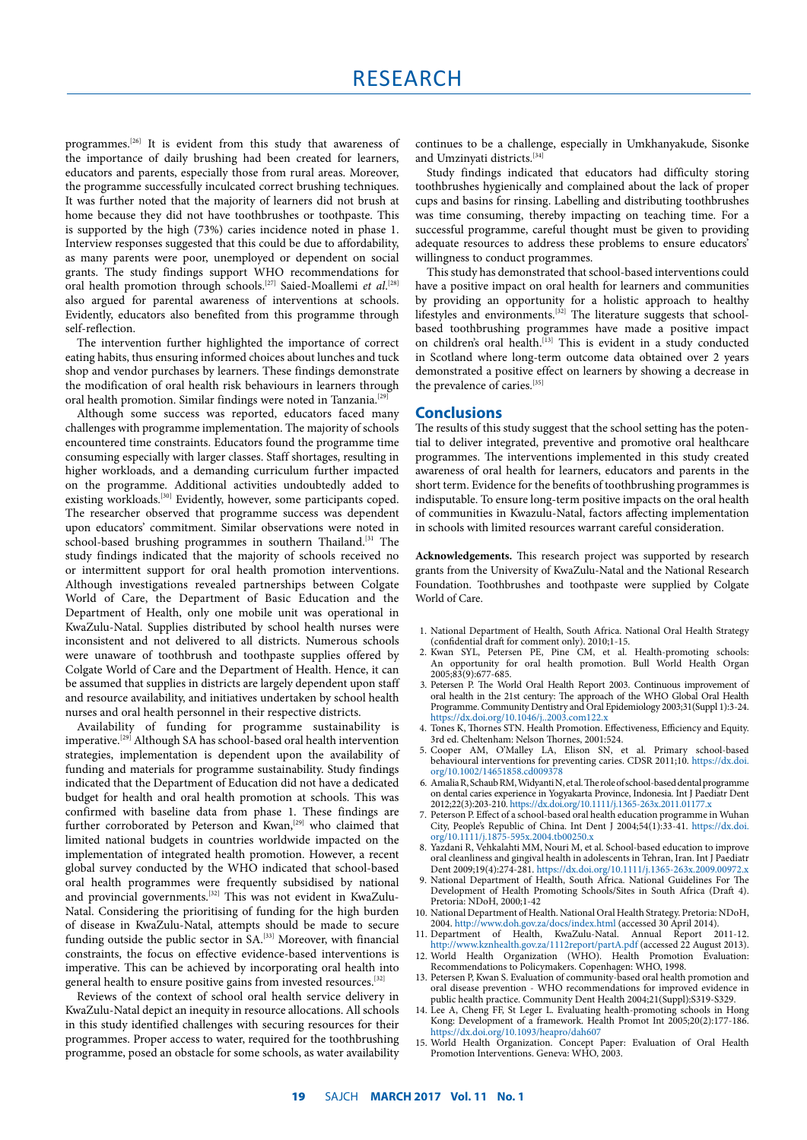programmes.[26] It is evident from this study that awareness of the importance of daily brushing had been created for learners, educators and parents, especially those from rural areas. Moreover, the programme successfully inculcated correct brushing techniques. It was further noted that the majority of learners did not brush at home because they did not have toothbrushes or toothpaste. This is supported by the high (73%) caries incidence noted in phase 1. Interview responses suggested that this could be due to affordability, as many parents were poor, unemployed or dependent on social grants. The study findings support WHO recommendations for oral health promotion through schools.<sup>[27]</sup> Saied-Moallemi *et al.*<sup>[28]</sup> also argued for parental awareness of interventions at schools. Evidently, educators also benefited from this programme through self-reflection.

The intervention further highlighted the importance of correct eating habits, thus ensuring informed choices about lunches and tuck shop and vendor purchases by learners. These findings demonstrate the modification of oral health risk behaviours in learners through oral health promotion. Similar findings were noted in Tanzania.<sup>[29]</sup>

Although some success was reported, educators faced many challenges with programme implementation. The majority of schools encountered time constraints. Educators found the programme time consuming especially with larger classes. Staff shortages, resulting in higher workloads, and a demanding curriculum further impacted on the programme. Additional activities undoubtedly added to existing workloads.<sup>[30]</sup> Evidently, however, some participants coped. The researcher observed that programme success was dependent upon educators' commitment. Similar observations were noted in school-based brushing programmes in southern Thailand.<sup>[31</sup> The study findings indicated that the majority of schools received no or intermittent support for oral health promotion interventions. Although investigations revealed partnerships between Colgate World of Care, the Department of Basic Education and the Department of Health, only one mobile unit was operational in KwaZulu-Natal. Supplies distributed by school health nurses were inconsistent and not delivered to all districts. Numerous schools were unaware of toothbrush and toothpaste supplies offered by Colgate World of Care and the Department of Health. Hence, it can be assumed that supplies in districts are largely dependent upon staff and resource availability, and initiatives undertaken by school health nurses and oral health personnel in their respective districts.

Availability of funding for programme sustainability is imperative.[29] Although SA has school-based oral health intervention strategies, implementation is dependent upon the availability of funding and materials for programme sustainability. Study findings indicated that the Department of Education did not have a dedicated budget for health and oral health promotion at schools. This was confirmed with baseline data from phase 1. These findings are further corroborated by Peterson and Kwan,<sup>[29]</sup> who claimed that limited national budgets in countries worldwide impacted on the implementation of integrated health promotion. However, a recent global survey conducted by the WHO indicated that school-based oral health programmes were frequently subsidised by national and provincial governments.[32] This was not evident in KwaZulu-Natal. Considering the prioritising of funding for the high burden of disease in KwaZulu-Natal, attempts should be made to secure funding outside the public sector in SA.[33] Moreover, with financial constraints, the focus on effective evidence-based interventions is imperative. This can be achieved by incorporating oral health into general health to ensure positive gains from invested resources.<sup>[32]</sup>

Reviews of the context of school oral health service delivery in KwaZulu-Natal depict an inequity in resource allocations. All schools in this study identified challenges with securing resources for their programmes. Proper access to water, required for the toothbrushing programme, posed an obstacle for some schools, as water availability

continues to be a challenge, especially in Umkhanyakude, Sisonke and Umzinyati districts.<sup>[34]</sup>

Study findings indicated that educators had difficulty storing toothbrushes hygienically and complained about the lack of proper cups and basins for rinsing. Labelling and distributing toothbrushes was time consuming, thereby impacting on teaching time. For a successful programme, careful thought must be given to providing adequate resources to address these problems to ensure educators' willingness to conduct programmes.

This study has demonstrated that school-based interventions could have a positive impact on oral health for learners and communities by providing an opportunity for a holistic approach to healthy lifestyles and environments.<sup>[32]</sup> The literature suggests that schoolbased toothbrushing programmes have made a positive impact on children's oral health.[13] This is evident in a study conducted in Scotland where long-term outcome data obtained over 2 years demonstrated a positive effect on learners by showing a decrease in the prevalence of caries.<sup>[35]</sup>

# **Conclusions**

The results of this study suggest that the school setting has the potential to deliver integrated, preventive and promotive oral healthcare programmes. The interventions implemented in this study created awareness of oral health for learners, educators and parents in the short term. Evidence for the benefits of toothbrushing programmes is indisputable. To ensure long-term positive impacts on the oral health of communities in Kwazulu-Natal, factors affecting implementation in schools with limited resources warrant careful consideration.

**Acknowledgements.** This research project was supported by research grants from the University of KwaZulu-Natal and the National Research Foundation. Toothbrushes and toothpaste were supplied by Colgate World of Care.

- 1. National Department of Health, South Africa. National Oral Health Strategy (confidential draft for comment only). 2010;1-15.
- 2. Kwan SYL, Petersen PE, Pine CM, et al. Health-promoting schools: An opportunity for oral health promotion. Bull World Health Organ 2005;83(9):677-685.
- 3. Petersen P. The World Oral Health Report 2003. Continuous improvement of oral health in the 21st century: The approach of the WHO Global Oral Health Programme. Community Dentistry and Oral Epidemiology 2003;31(Suppl 1):3-24. https://dx.doi.org/10.1046/j..2003.com122.x
- 4. Tones K, Thornes STN. Health Promotion. Effectiveness, Efficiency and Equity. 3rd ed. Cheltenham: Nelson Thornes, 2001:524.
- 5. Cooper AM, O'Malley LA, Elison SN, et al. Primary school-based behavioural interventions for preventing caries. CDSR 2011;10. [https://dx.doi.](https://dx.doi.org/10.1002/14651858.cd009378) [org/10.1002/14651858.cd009378](https://dx.doi.org/10.1002/14651858.cd009378)
- 6. Amalia R, Schaub RM, Widyanti N, et al. The role of school-based dental programme on dental caries experience in Yogyakarta Province, Indonesia. Int J Paediatr Dent 2012;22(3):203-210. https://dx.doi.org/10.1111/j.1365-263x.2011.01177.x
- 7. Peterson P. Effect of a school-based oral health education programme in Wuhan City, People's Republic of China. Int Dent J 2004;54(1):33-41. [https://dx.doi.](https://dx.doi.org/10.1111/j.1875-595x.2004.tb00250.x  ) [org/10.1111/j.1875-595x.2004.tb00250.x](https://dx.doi.org/10.1111/j.1875-595x.2004.tb00250.x  )
- 8. Yazdani R, Vehkalahti MM, Nouri M, et al. School-based education to improve oral cleanliness and gingival health in adolescents in Tehran, Iran. Int J Paediatr Dent 2009;19(4):274-281. https://dx.doi.org/10.1111/j.1365-263x.2009.00972.x
- 9. National Department of Health, South Africa. National Guidelines For The Development of Health Promoting Schools/Sites in South Africa (Draft 4). Pretoria: NDoH, 2000;1-42
- 10. National Department of Health. National Oral Health Strategy. Pretoria: NDoH, 2004. http://www.doh.gov.za/docs/index.html (accessed 30 April 2014).
- 11. Department of Health, KwaZulu-Natal. Annual Report 2011-12. http://[www.kznhealth.gov.za/1112report/partA.pdf](http://www.kznhealth.gov.za/1112report/partA.pdf) (accessed 22 August 2013).
- 12. World Health Organization (WHO). Health Promotion Evaluation: Recommendations to Policymakers. Copenhagen: WHO, 1998.
- 13. Petersen P, Kwan S. Evaluation of community-based oral health promotion and oral disease prevention - WHO recommendations for improved evidence in public health practice. Community Dent Health 2004;21(Suppl):S319-S329.
- 14. Lee A, Cheng FF, St Leger L. Evaluating health-promoting schools in Hong Kong: Development of a framework. Health Promot Int 2005;20(2):177-186. https://dx.doi.org/10.1093/heapro/dah607
- 15. World Health Organization. Concept Paper: Evaluation of Oral Health Promotion Interventions. Geneva: WHO, 2003.